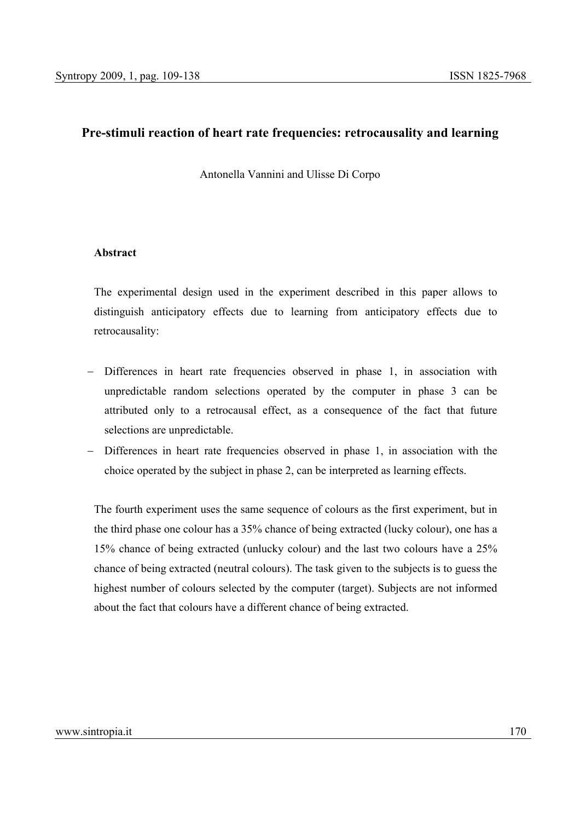# **Pre-stimuli reaction of heart rate frequencies: retrocausality and learning**

Antonella Vannini and Ulisse Di Corpo

## **Abstract**

The experimental design used in the experiment described in this paper allows to distinguish anticipatory effects due to learning from anticipatory effects due to retrocausality:

- − Differences in heart rate frequencies observed in phase 1, in association with unpredictable random selections operated by the computer in phase 3 can be attributed only to a retrocausal effect, as a consequence of the fact that future selections are unpredictable.
- − Differences in heart rate frequencies observed in phase 1, in association with the choice operated by the subject in phase 2, can be interpreted as learning effects.

The fourth experiment uses the same sequence of colours as the first experiment, but in the third phase one colour has a 35% chance of being extracted (lucky colour), one has a 15% chance of being extracted (unlucky colour) and the last two colours have a 25% chance of being extracted (neutral colours). The task given to the subjects is to guess the highest number of colours selected by the computer (target). Subjects are not informed about the fact that colours have a different chance of being extracted.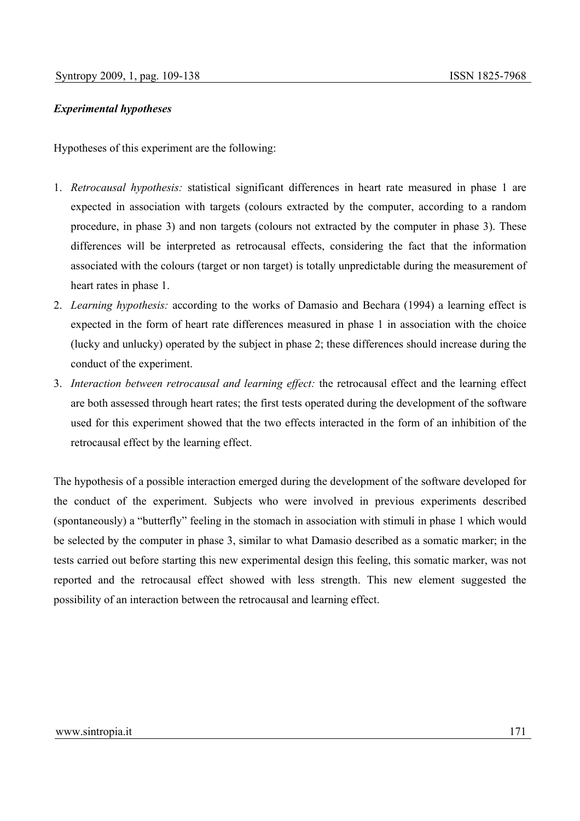## *Experimental hypotheses*

Hypotheses of this experiment are the following:

- 1. *Retrocausal hypothesis:* statistical significant differences in heart rate measured in phase 1 are expected in association with targets (colours extracted by the computer, according to a random procedure, in phase 3) and non targets (colours not extracted by the computer in phase 3). These differences will be interpreted as retrocausal effects, considering the fact that the information associated with the colours (target or non target) is totally unpredictable during the measurement of heart rates in phase 1.
- 2. *Learning hypothesis:* according to the works of Damasio and Bechara (1994) a learning effect is expected in the form of heart rate differences measured in phase 1 in association with the choice (lucky and unlucky) operated by the subject in phase 2; these differences should increase during the conduct of the experiment.
- 3. *Interaction between retrocausal and learning effect:* the retrocausal effect and the learning effect are both assessed through heart rates; the first tests operated during the development of the software used for this experiment showed that the two effects interacted in the form of an inhibition of the retrocausal effect by the learning effect.

The hypothesis of a possible interaction emerged during the development of the software developed for the conduct of the experiment. Subjects who were involved in previous experiments described (spontaneously) a "butterfly" feeling in the stomach in association with stimuli in phase 1 which would be selected by the computer in phase 3, similar to what Damasio described as a somatic marker; in the tests carried out before starting this new experimental design this feeling, this somatic marker, was not reported and the retrocausal effect showed with less strength. This new element suggested the possibility of an interaction between the retrocausal and learning effect.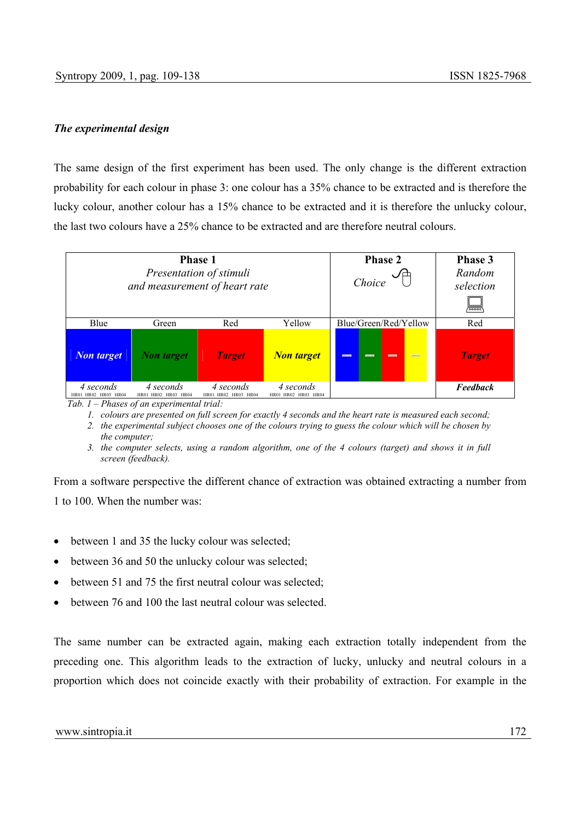## *The experimental design*

The same design of the first experiment has been used. The only change is the different extraction probability for each colour in phase 3: one colour has a 35% chance to be extracted and is therefore the lucky colour, another colour has a 15% chance to be extracted and it is therefore the unlucky colour, the last two colours have a 25% chance to be extracted and are therefore neutral colours.



*Tab. 1 – Phases of an experimental trial:* 

*1. colours are presented on full screen for exactly 4 seconds and the heart rate is measured each second;* 

*2. the experimental subject chooses one of the colours trying to guess the colour which will be chosen by the computer;* 

From a software perspective the different chance of extraction was obtained extracting a number from 1 to 100. When the number was:

- between 1 and 35 the lucky colour was selected:
- between 36 and 50 the unlucky colour was selected;
- between 51 and 75 the first neutral colour was selected:
- between 76 and 100 the last neutral colour was selected.

The same number can be extracted again, making each extraction totally independent from the preceding one. This algorithm leads to the extraction of lucky, unlucky and neutral colours in a proportion which does not coincide exactly with their probability of extraction. For example in the

*<sup>3.</sup> the computer selects, using a random algorithm, one of the 4 colours (target) and shows it in full screen (feedback).*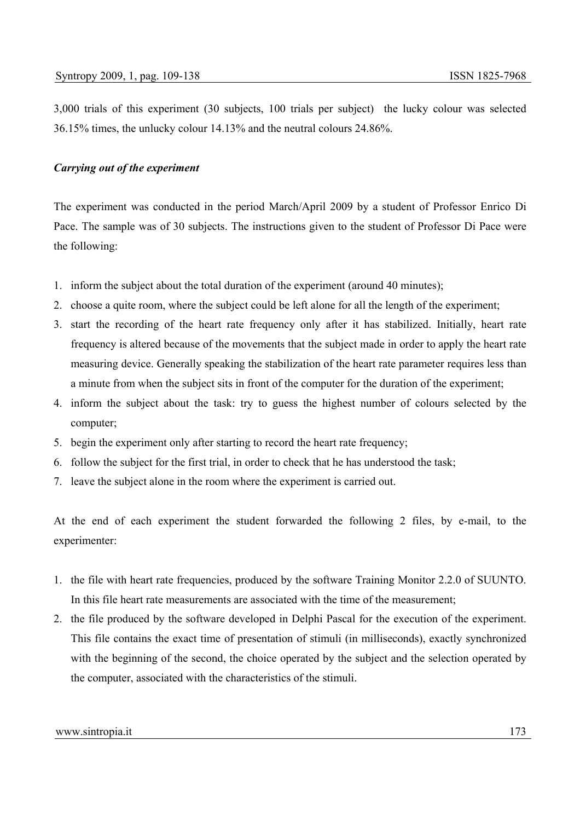3,000 trials of this experiment (30 subjects, 100 trials per subject) the lucky colour was selected 36.15% times, the unlucky colour 14.13% and the neutral colours 24.86%.

## *Carrying out of the experiment*

The experiment was conducted in the period March/April 2009 by a student of Professor Enrico Di Pace. The sample was of 30 subjects. The instructions given to the student of Professor Di Pace were the following:

- 1. inform the subject about the total duration of the experiment (around 40 minutes);
- 2. choose a quite room, where the subject could be left alone for all the length of the experiment;
- 3. start the recording of the heart rate frequency only after it has stabilized. Initially, heart rate frequency is altered because of the movements that the subject made in order to apply the heart rate measuring device. Generally speaking the stabilization of the heart rate parameter requires less than a minute from when the subject sits in front of the computer for the duration of the experiment;
- 4. inform the subject about the task: try to guess the highest number of colours selected by the computer;
- 5. begin the experiment only after starting to record the heart rate frequency;
- 6. follow the subject for the first trial, in order to check that he has understood the task;
- 7. leave the subject alone in the room where the experiment is carried out.

At the end of each experiment the student forwarded the following 2 files, by e-mail, to the experimenter:

- 1. the file with heart rate frequencies, produced by the software Training Monitor 2.2.0 of SUUNTO. In this file heart rate measurements are associated with the time of the measurement;
- 2. the file produced by the software developed in Delphi Pascal for the execution of the experiment. This file contains the exact time of presentation of stimuli (in milliseconds), exactly synchronized with the beginning of the second, the choice operated by the subject and the selection operated by the computer, associated with the characteristics of the stimuli.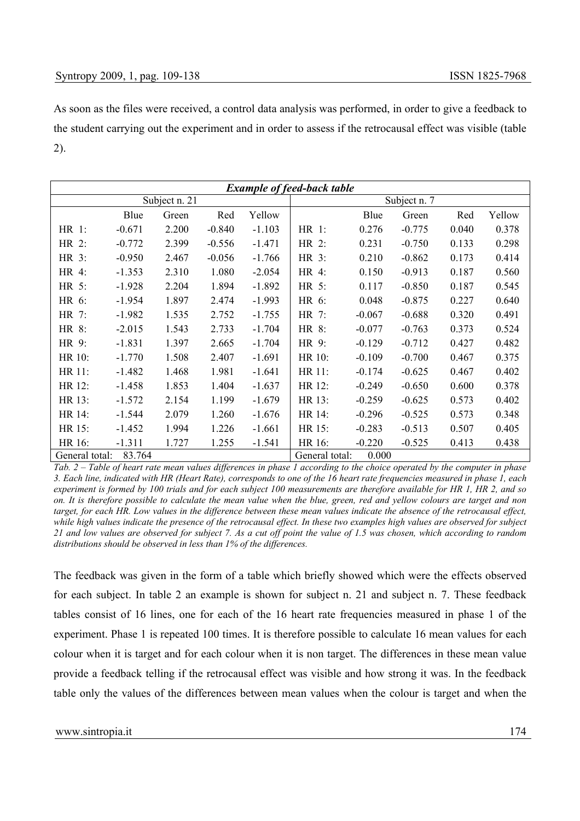As soon as the files were received, a control data analysis was performed, in order to give a feedback to the student carrying out the experiment and in order to assess if the retrocausal effect was visible (table 2).

| <b>Example of feed-back table</b> |          |               |          |          |                |          |              |       |        |
|-----------------------------------|----------|---------------|----------|----------|----------------|----------|--------------|-------|--------|
|                                   |          | Subject n. 21 |          |          |                |          | Subject n. 7 |       |        |
|                                   | Blue     | Green         | Red      | Yellow   |                | Blue     | Green        | Red   | Yellow |
| HR 1:                             | $-0.671$ | 2.200         | $-0.840$ | $-1.103$ | HR 1:          | 0.276    | $-0.775$     | 0.040 | 0.378  |
| HR 2:                             | $-0.772$ | 2.399         | $-0.556$ | $-1.471$ | HR 2:          | 0.231    | $-0.750$     | 0.133 | 0.298  |
| HR 3:                             | $-0.950$ | 2.467         | $-0.056$ | $-1.766$ | HR 3:          | 0.210    | $-0.862$     | 0.173 | 0.414  |
| HR 4:                             | $-1.353$ | 2.310         | 1.080    | $-2.054$ | HR 4:          | 0.150    | $-0.913$     | 0.187 | 0.560  |
| HR 5:                             | $-1.928$ | 2.204         | 1.894    | $-1.892$ | HR 5:          | 0.117    | $-0.850$     | 0.187 | 0.545  |
| HR 6:                             | $-1.954$ | 1.897         | 2.474    | $-1.993$ | HR 6:          | 0.048    | $-0.875$     | 0.227 | 0.640  |
| HR 7:                             | $-1.982$ | 1.535         | 2.752    | $-1.755$ | HR 7:          | $-0.067$ | $-0.688$     | 0.320 | 0.491  |
| HR 8:                             | $-2.015$ | 1.543         | 2.733    | $-1.704$ | HR 8:          | $-0.077$ | $-0.763$     | 0.373 | 0.524  |
| HR 9:                             | $-1.831$ | 1.397         | 2.665    | $-1.704$ | HR 9:          | $-0.129$ | $-0.712$     | 0.427 | 0.482  |
| HR 10:                            | $-1.770$ | 1.508         | 2.407    | $-1.691$ | HR 10:         | $-0.109$ | $-0.700$     | 0.467 | 0.375  |
| HR 11:                            | $-1.482$ | 1.468         | 1.981    | $-1.641$ | HR 11:         | $-0.174$ | $-0.625$     | 0.467 | 0.402  |
| HR 12:                            | $-1.458$ | 1.853         | 1.404    | $-1.637$ | HR 12:         | $-0.249$ | $-0.650$     | 0.600 | 0.378  |
| HR 13:                            | $-1.572$ | 2.154         | 1.199    | $-1.679$ | HR 13:         | $-0.259$ | $-0.625$     | 0.573 | 0.402  |
| HR 14:                            | $-1.544$ | 2.079         | 1.260    | $-1.676$ | HR 14:         | $-0.296$ | $-0.525$     | 0.573 | 0.348  |
| HR 15:                            | $-1.452$ | 1.994         | 1.226    | $-1.661$ | HR 15:         | $-0.283$ | $-0.513$     | 0.507 | 0.405  |
| HR 16:                            | $-1.311$ | 1.727         | 1.255    | $-1.541$ | HR 16:         | $-0.220$ | $-0.525$     | 0.413 | 0.438  |
| General total:                    | 83.764   |               |          |          | General total: | 0.000    |              |       |        |

*Tab. 2 – Table of heart rate mean values differences in phase 1 according to the choice operated by the computer in phase 3. Each line, indicated with HR (Heart Rate), corresponds to one of the 16 heart rate frequencies measured in phase 1, each experiment is formed by 100 trials and for each subject 100 measurements are therefore available for HR 1, HR 2, and so on. It is therefore possible to calculate the mean value when the blue, green, red and yellow colours are target and non target, for each HR. Low values in the difference between these mean values indicate the absence of the retrocausal effect, while high values indicate the presence of the retrocausal effect. In these two examples high values are observed for subject 21 and low values are observed for subject 7. As a cut off point the value of 1.5 was chosen, which according to random distributions should be observed in less than 1% of the differences.* 

The feedback was given in the form of a table which briefly showed which were the effects observed for each subject. In table 2 an example is shown for subject n. 21 and subject n. 7. These feedback tables consist of 16 lines, one for each of the 16 heart rate frequencies measured in phase 1 of the experiment. Phase 1 is repeated 100 times. It is therefore possible to calculate 16 mean values for each colour when it is target and for each colour when it is non target. The differences in these mean value provide a feedback telling if the retrocausal effect was visible and how strong it was. In the feedback table only the values of the differences between mean values when the colour is target and when the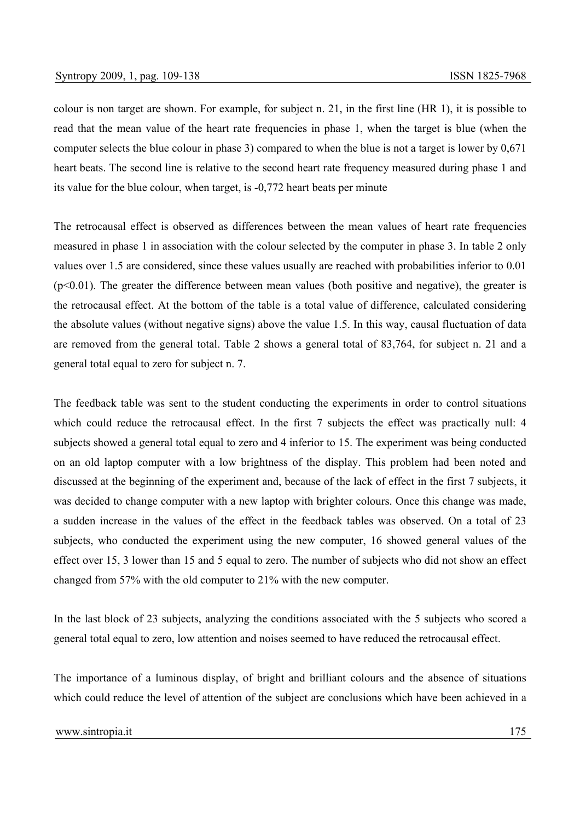colour is non target are shown. For example, for subject n. 21, in the first line (HR 1), it is possible to read that the mean value of the heart rate frequencies in phase 1, when the target is blue (when the computer selects the blue colour in phase 3) compared to when the blue is not a target is lower by 0,671 heart beats. The second line is relative to the second heart rate frequency measured during phase 1 and its value for the blue colour, when target, is -0,772 heart beats per minute

The retrocausal effect is observed as differences between the mean values of heart rate frequencies measured in phase 1 in association with the colour selected by the computer in phase 3. In table 2 only values over 1.5 are considered, since these values usually are reached with probabilities inferior to 0.01  $(p<0.01)$ . The greater the difference between mean values (both positive and negative), the greater is the retrocausal effect. At the bottom of the table is a total value of difference, calculated considering the absolute values (without negative signs) above the value 1.5. In this way, causal fluctuation of data are removed from the general total. Table 2 shows a general total of 83,764, for subject n. 21 and a general total equal to zero for subject n. 7.

The feedback table was sent to the student conducting the experiments in order to control situations which could reduce the retrocausal effect. In the first 7 subjects the effect was practically null: 4 subjects showed a general total equal to zero and 4 inferior to 15. The experiment was being conducted on an old laptop computer with a low brightness of the display. This problem had been noted and discussed at the beginning of the experiment and, because of the lack of effect in the first 7 subjects, it was decided to change computer with a new laptop with brighter colours. Once this change was made, a sudden increase in the values of the effect in the feedback tables was observed. On a total of 23 subjects, who conducted the experiment using the new computer, 16 showed general values of the effect over 15, 3 lower than 15 and 5 equal to zero. The number of subjects who did not show an effect changed from 57% with the old computer to 21% with the new computer.

In the last block of 23 subjects, analyzing the conditions associated with the 5 subjects who scored a general total equal to zero, low attention and noises seemed to have reduced the retrocausal effect.

The importance of a luminous display, of bright and brilliant colours and the absence of situations which could reduce the level of attention of the subject are conclusions which have been achieved in a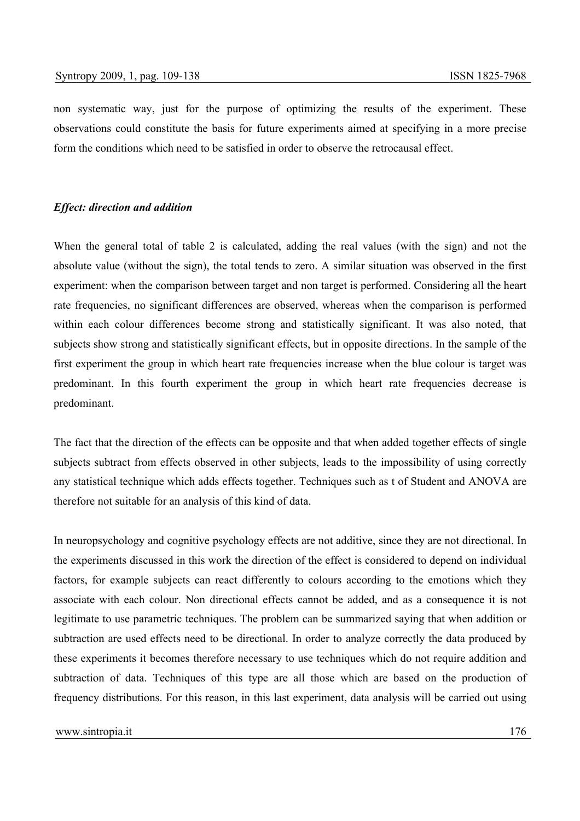non systematic way, just for the purpose of optimizing the results of the experiment. These observations could constitute the basis for future experiments aimed at specifying in a more precise form the conditions which need to be satisfied in order to observe the retrocausal effect.

### *Effect: direction and addition*

When the general total of table 2 is calculated, adding the real values (with the sign) and not the absolute value (without the sign), the total tends to zero. A similar situation was observed in the first experiment: when the comparison between target and non target is performed. Considering all the heart rate frequencies, no significant differences are observed, whereas when the comparison is performed within each colour differences become strong and statistically significant. It was also noted, that subjects show strong and statistically significant effects, but in opposite directions. In the sample of the first experiment the group in which heart rate frequencies increase when the blue colour is target was predominant. In this fourth experiment the group in which heart rate frequencies decrease is predominant.

The fact that the direction of the effects can be opposite and that when added together effects of single subjects subtract from effects observed in other subjects, leads to the impossibility of using correctly any statistical technique which adds effects together. Techniques such as t of Student and ANOVA are therefore not suitable for an analysis of this kind of data.

In neuropsychology and cognitive psychology effects are not additive, since they are not directional. In the experiments discussed in this work the direction of the effect is considered to depend on individual factors, for example subjects can react differently to colours according to the emotions which they associate with each colour. Non directional effects cannot be added, and as a consequence it is not legitimate to use parametric techniques. The problem can be summarized saying that when addition or subtraction are used effects need to be directional. In order to analyze correctly the data produced by these experiments it becomes therefore necessary to use techniques which do not require addition and subtraction of data. Techniques of this type are all those which are based on the production of frequency distributions. For this reason, in this last experiment, data analysis will be carried out using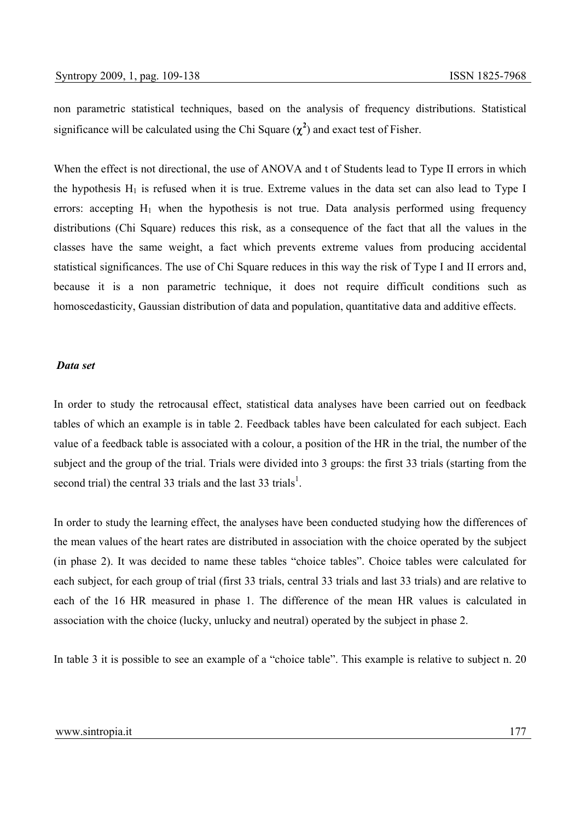non parametric statistical techniques, based on the analysis of frequency distributions. Statistical significance will be calculated using the Chi Square  $(\chi^2)$  and exact test of Fisher.

When the effect is not directional, the use of ANOVA and t of Students lead to Type II errors in which the hypothesis  $H_1$  is refused when it is true. Extreme values in the data set can also lead to Type I errors: accepting  $H_1$  when the hypothesis is not true. Data analysis performed using frequency distributions (Chi Square) reduces this risk, as a consequence of the fact that all the values in the classes have the same weight, a fact which prevents extreme values from producing accidental statistical significances. The use of Chi Square reduces in this way the risk of Type I and II errors and, because it is a non parametric technique, it does not require difficult conditions such as homoscedasticity, Gaussian distribution of data and population, quantitative data and additive effects.

#### *Data set*

In order to study the retrocausal effect, statistical data analyses have been carried out on feedback tables of which an example is in table 2. Feedback tables have been calculated for each subject. Each value of a feedback table is associated with a colour, a position of the HR in the trial, the number of the subject and the group of the trial. Trials were divided into 3 groups: the first 33 trials (starting from the second trial) the central 33 trials and the last 33 trials<sup>1</sup>.

In order to study the learning effect, the analyses have been conducted studying how the differences of the mean values of the heart rates are distributed in association with the choice operated by the subject (in phase 2). It was decided to name these tables "choice tables". Choice tables were calculated for each subject, for each group of trial (first 33 trials, central 33 trials and last 33 trials) and are relative to each of the 16 HR measured in phase 1. The difference of the mean HR values is calculated in association with the choice (lucky, unlucky and neutral) operated by the subject in phase 2.

In table 3 it is possible to see an example of a "choice table". This example is relative to subject n. 20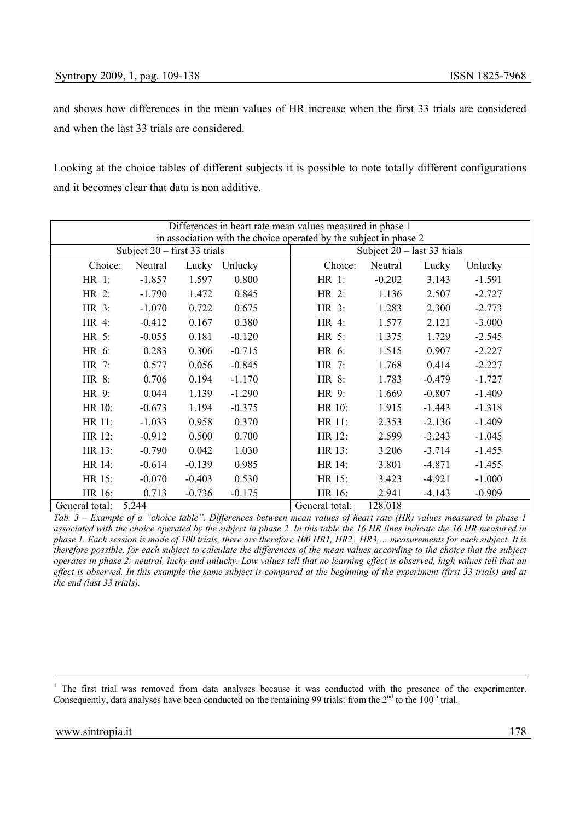and shows how differences in the mean values of HR increase when the first 33 trials are considered and when the last 33 trials are considered.

Looking at the choice tables of different subjects it is possible to note totally different configurations and it becomes clear that data is non additive.

|                | Differences in heart rate mean values measured in phase 1<br>in association with the choice operated by the subject in phase 2 |          |          |                |                               |          |          |  |  |
|----------------|--------------------------------------------------------------------------------------------------------------------------------|----------|----------|----------------|-------------------------------|----------|----------|--|--|
|                |                                                                                                                                |          |          |                |                               |          |          |  |  |
|                | Subject $20 -$ first 33 trials                                                                                                 |          |          |                | Subject $20 -$ last 33 trials |          |          |  |  |
| Choice:        | Neutral                                                                                                                        | Lucky    | Unlucky  | Choice:        | Neutral                       | Lucky    | Unlucky  |  |  |
| HR 1:          | $-1.857$                                                                                                                       | 1.597    | 0.800    | HR 1:          | $-0.202$                      | 3.143    | $-1.591$ |  |  |
| HR 2:          | $-1.790$                                                                                                                       | 1.472    | 0.845    | HR 2:          | 1.136                         | 2.507    | $-2.727$ |  |  |
| HR 3:          | $-1.070$                                                                                                                       | 0.722    | 0.675    | HR 3:          | 1.283                         | 2.300    | $-2.773$ |  |  |
| HR 4:          | $-0.412$                                                                                                                       | 0.167    | 0.380    | HR 4:          | 1.577                         | 2.121    | $-3.000$ |  |  |
| HR 5:          | $-0.055$                                                                                                                       | 0.181    | $-0.120$ | HR 5:          | 1.375                         | 1.729    | $-2.545$ |  |  |
| HR 6:          | 0.283                                                                                                                          | 0.306    | $-0.715$ | HR 6:          | 1.515                         | 0.907    | $-2.227$ |  |  |
| HR 7:          | 0.577                                                                                                                          | 0.056    | $-0.845$ | HR 7:          | 1.768                         | 0.414    | $-2.227$ |  |  |
| HR 8:          | 0.706                                                                                                                          | 0.194    | $-1.170$ | HR 8:          | 1.783                         | $-0.479$ | $-1.727$ |  |  |
| HR 9:          | 0.044                                                                                                                          | 1.139    | $-1.290$ | HR 9:          | 1.669                         | $-0.807$ | $-1.409$ |  |  |
| HR 10:         | $-0.673$                                                                                                                       | 1.194    | $-0.375$ | HR 10:         | 1.915                         | $-1.443$ | $-1.318$ |  |  |
| HR 11:         | $-1.033$                                                                                                                       | 0.958    | 0.370    | HR 11:         | 2.353                         | $-2.136$ | $-1.409$ |  |  |
| HR 12:         | $-0.912$                                                                                                                       | 0.500    | 0.700    | HR 12:         | 2.599                         | $-3.243$ | $-1.045$ |  |  |
| HR 13:         | $-0.790$                                                                                                                       | 0.042    | 1.030    | HR 13:         | 3.206                         | $-3.714$ | $-1.455$ |  |  |
| HR 14:         | $-0.614$                                                                                                                       | $-0.139$ | 0.985    | HR 14:         | 3.801                         | $-4.871$ | $-1.455$ |  |  |
| HR 15:         | $-0.070$                                                                                                                       | $-0.403$ | 0.530    | HR 15:         | 3.423                         | $-4.921$ | $-1.000$ |  |  |
| HR 16:         | 0.713                                                                                                                          | $-0.736$ | $-0.175$ | HR 16:         | 2.941                         | $-4.143$ | $-0.909$ |  |  |
| General total: | 5.244                                                                                                                          |          |          | General total: | 128.018                       |          |          |  |  |

*Tab. 3 – Example of a "choice table". Differences between mean values of heart rate (HR) values measured in phase 1 associated with the choice operated by the subject in phase 2. In this table the 16 HR lines indicate the 16 HR measured in phase 1. Each session is made of 100 trials, there are therefore 100 HR1, HR2, HR3,… measurements for each subject. It is therefore possible, for each subject to calculate the differences of the mean values according to the choice that the subject operates in phase 2: neutral, lucky and unlucky. Low values tell that no learning effect is observed, high values tell that an effect is observed. In this example the same subject is compared at the beginning of the experiment (first 33 trials) and at the end (last 33 trials).*

 $\frac{1}{1}$ <sup>1</sup> The first trial was removed from data analyses because it was conducted with the presence of the experimenter. Consequently, data analyses have been conducted on the remaining 99 trials: from the  $2<sup>nd</sup>$  to the 100<sup>th</sup> trial.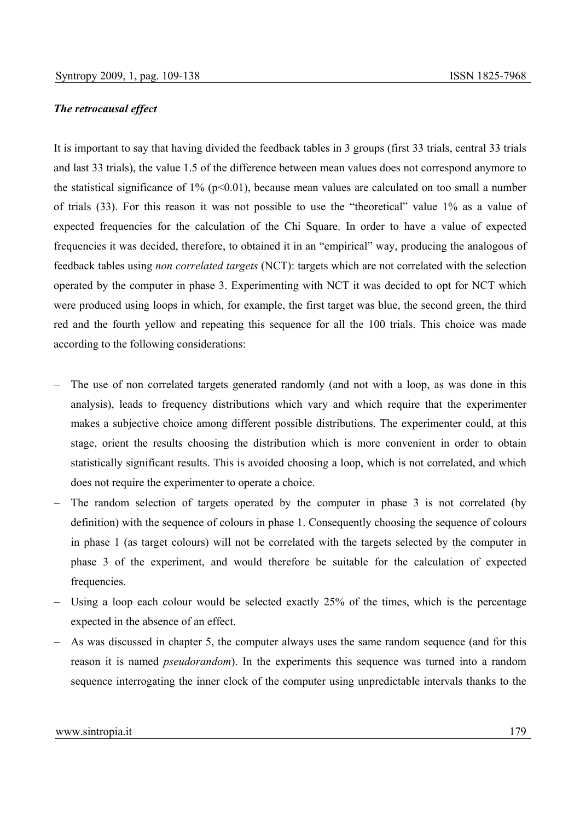#### *The retrocausal effect*

It is important to say that having divided the feedback tables in 3 groups (first 33 trials, central 33 trials and last 33 trials), the value 1.5 of the difference between mean values does not correspond anymore to the statistical significance of  $1\%$  (p<0.01), because mean values are calculated on too small a number of trials (33). For this reason it was not possible to use the "theoretical" value 1% as a value of expected frequencies for the calculation of the Chi Square. In order to have a value of expected frequencies it was decided, therefore, to obtained it in an "empirical" way, producing the analogous of feedback tables using *non correlated targets* (NCT): targets which are not correlated with the selection operated by the computer in phase 3. Experimenting with NCT it was decided to opt for NCT which were produced using loops in which, for example, the first target was blue, the second green, the third red and the fourth yellow and repeating this sequence for all the 100 trials. This choice was made according to the following considerations:

- The use of non correlated targets generated randomly (and not with a loop, as was done in this analysis), leads to frequency distributions which vary and which require that the experimenter makes a subjective choice among different possible distributions. The experimenter could, at this stage, orient the results choosing the distribution which is more convenient in order to obtain statistically significant results. This is avoided choosing a loop, which is not correlated, and which does not require the experimenter to operate a choice.
- The random selection of targets operated by the computer in phase 3 is not correlated (by definition) with the sequence of colours in phase 1. Consequently choosing the sequence of colours in phase 1 (as target colours) will not be correlated with the targets selected by the computer in phase 3 of the experiment, and would therefore be suitable for the calculation of expected frequencies.
- Using a loop each colour would be selected exactly 25% of the times, which is the percentage expected in the absence of an effect.
- As was discussed in chapter 5, the computer always uses the same random sequence (and for this reason it is named *pseudorandom*). In the experiments this sequence was turned into a random sequence interrogating the inner clock of the computer using unpredictable intervals thanks to the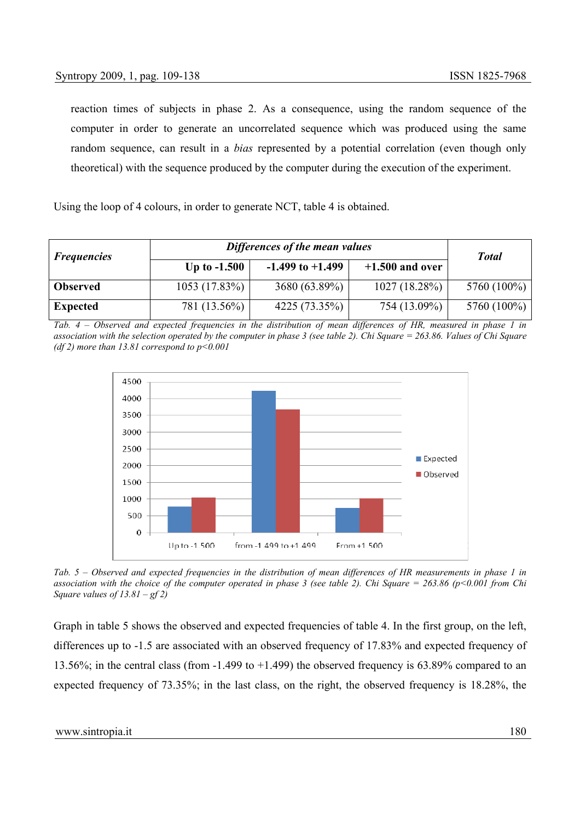reaction times of subjects in phase 2. As a consequence, using the random sequence of the computer in order to generate an uncorrelated sequence which was produced using the same random sequence, can result in a *bias* represented by a potential correlation (even though only theoretical) with the sequence produced by the computer during the execution of the experiment.

Using the loop of 4 colours, in order to generate NCT, table 4 is obtained.

| <b>Frequencies</b> | Differences of the mean values | <b>Total</b>         |                   |             |
|--------------------|--------------------------------|----------------------|-------------------|-------------|
|                    | Up to $-1.500$                 | $-1.499$ to $+1.499$ | $+1.500$ and over |             |
| <b>Observed</b>    | 1053(17.83%)                   | 3680 (63.89%)        | 1027(18.28%)      | 5760 (100%) |
| <b>Expected</b>    | 781 (13.56%)                   | 4225(73.35%)         | 754 (13.09%)      | 5760 (100%) |

*Tab. 4 – Observed and expected frequencies in the distribution of mean differences of HR, measured in phase 1 in association with the selection operated by the computer in phase 3 (see table 2). Chi Square = 263.86. Values of Chi Square (df 2) more than 13.81 correspond to p<0.001*



*Tab. 5 – Observed and expected frequencies in the distribution of mean differences of HR measurements in phase 1 in association with the choice of the computer operated in phase 3 (see table 2). Chi Square = 263.86 (p<0.001 from Chi Square values of 13.81 – gf 2)* 

Graph in table 5 shows the observed and expected frequencies of table 4. In the first group, on the left, differences up to -1.5 are associated with an observed frequency of 17.83% and expected frequency of 13.56%; in the central class (from -1.499 to +1.499) the observed frequency is 63.89% compared to an expected frequency of 73.35%; in the last class, on the right, the observed frequency is 18.28%, the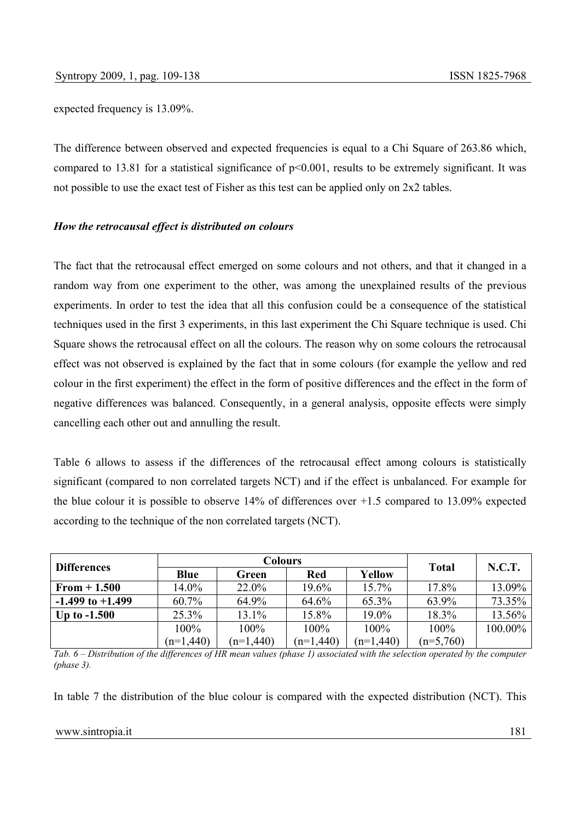expected frequency is 13.09%.

The difference between observed and expected frequencies is equal to a Chi Square of 263.86 which, compared to 13.81 for a statistical significance of  $p<0.001$ , results to be extremely significant. It was not possible to use the exact test of Fisher as this test can be applied only on 2x2 tables.

### *How the retrocausal effect is distributed on colours*

The fact that the retrocausal effect emerged on some colours and not others, and that it changed in a random way from one experiment to the other, was among the unexplained results of the previous experiments. In order to test the idea that all this confusion could be a consequence of the statistical techniques used in the first 3 experiments, in this last experiment the Chi Square technique is used. Chi Square shows the retrocausal effect on all the colours. The reason why on some colours the retrocausal effect was not observed is explained by the fact that in some colours (for example the yellow and red colour in the first experiment) the effect in the form of positive differences and the effect in the form of negative differences was balanced. Consequently, in a general analysis, opposite effects were simply cancelling each other out and annulling the result.

Table 6 allows to assess if the differences of the retrocausal effect among colours is statistically significant (compared to non correlated targets NCT) and if the effect is unbalanced. For example for the blue colour it is possible to observe 14% of differences over +1.5 compared to 13.09% expected according to the technique of the non correlated targets (NCT).

| <b>Differences</b>   |             | Colours     | <b>Total</b> |             |             |               |
|----------------------|-------------|-------------|--------------|-------------|-------------|---------------|
|                      | Blue        | Green       | Red          | Yellow      |             | <b>N.C.T.</b> |
| $From + 1.500$       | 14.0%       | 22.0%       | 19.6%        | 15.7%       | 17.8%       | 13.09%        |
| $-1.499$ to $+1.499$ | 60.7%       | 64.9%       | 64.6%        | 65.3%       | 63.9%       | 73.35%        |
| Up to $-1.500$       | 25.3%       | 13.1%       | 15.8%        | 19.0%       | 18.3%       | 13.56%        |
|                      | $100\%$     | 100%        | 100%         | $100\%$     | 100%        | 100.00%       |
|                      | $(n=1,440)$ | $(n=1,440)$ | $(n=1,440)$  | $(n=1,440)$ | $(n=5,760)$ |               |

*Tab. 6 – Distribution of the differences of HR mean values (phase 1) associated with the selection operated by the computer (phase 3).*

In table 7 the distribution of the blue colour is compared with the expected distribution (NCT). This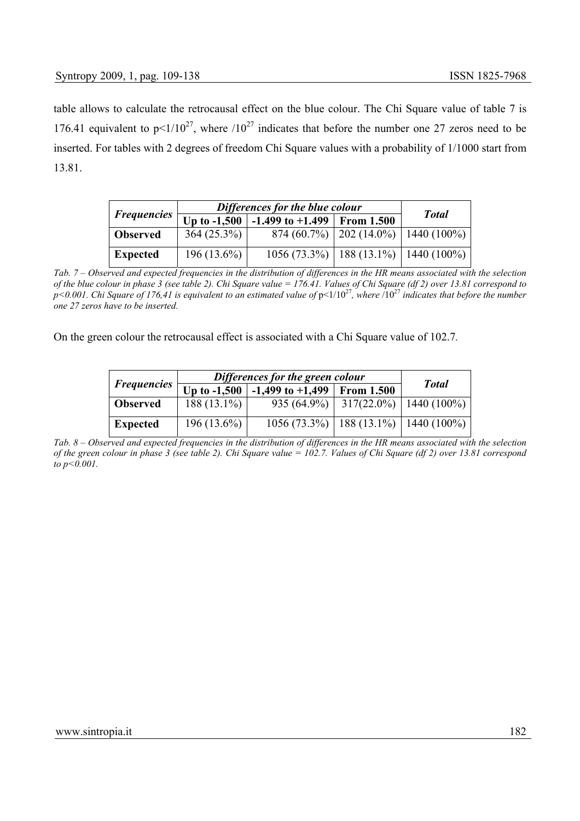table allows to calculate the retrocausal effect on the blue colour. The Chi Square value of table 7 is 176.41 equivalent to  $p \le 1/10^{27}$ , where  $/10^{27}$  indicates that before the number one 27 zeros need to be inserted. For tables with 2 degrees of freedom Chi Square values with a probability of 1/1000 start from 13.81.

|                    | Differences for the blue colour | <b>Total</b>                               |                                           |  |
|--------------------|---------------------------------|--------------------------------------------|-------------------------------------------|--|
| <b>Frequencies</b> | Up to $-1,500$                  | $\vert$ -1.499 to +1.499 From 1.500        |                                           |  |
| <b>Observed</b>    | $364(25.3\%)$                   |                                            | $874(60.7\%)$   202 (14.0%)   1440 (100%) |  |
| <b>Expected</b>    | $196(13.6\%)$                   | $1056(73.3\%)$   188 (13.1%)   1440 (100%) |                                           |  |

*Tab. 7 – Observed and expected frequencies in the distribution of differences in the HR means associated with the selection of the blue colour in phase 3 (see table 2). Chi Square value = 176.41. Values of Chi Square (df 2) over 13.81 correspond to p*<0.001. Chi Square of 176,41 is equivalent to an estimated value of  $p$ <1/10<sup>27</sup>, where  $/10^{27}$  indicates that before the number *one 27 zeros have to be inserted.*

On the green colour the retrocausal effect is associated with a Chi Square value of 102.7*.*

|                    | Differences for the green colour | <b>Total</b>                               |                                        |  |
|--------------------|----------------------------------|--------------------------------------------|----------------------------------------|--|
| <b>Frequencies</b> | Up to $-1,500$                   | $-1,499$ to $+1,499$ From 1.500            |                                        |  |
| <b>Observed</b>    | $188(13.1\%)$                    |                                            | 935 (64.9%)   317(22.0%)   1440 (100%) |  |
| <b>Expected</b>    | $196(13.6\%)$                    | $1056(73.3\%)$   188 (13.1%)   1440 (100%) |                                        |  |

*Tab. 8 – Observed and expected frequencies in the distribution of differences in the HR means associated with the selection of the green colour in phase 3 (see table 2). Chi Square value = 102.7. Values of Chi Square (df 2) over 13.81 correspond to p<0.001.*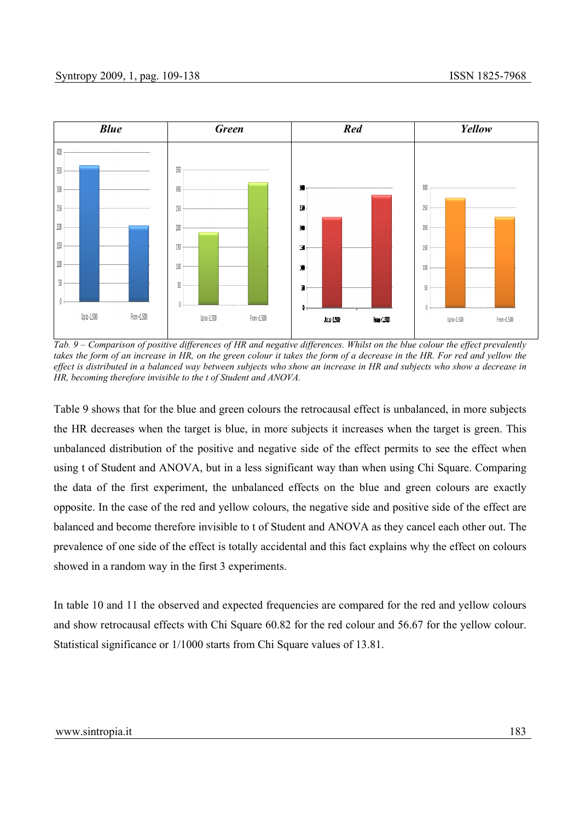

*Tab. 9 – Comparison of positive differences of HR and negative differences. Whilst on the blue colour the effect prevalently takes the form of an increase in HR, on the green colour it takes the form of a decrease in the HR. For red and yellow the effect is distributed in a balanced way between subjects who show an increase in HR and subjects who show a decrease in HR, becoming therefore invisible to the t of Student and ANOVA.* 

Table 9 shows that for the blue and green colours the retrocausal effect is unbalanced, in more subjects the HR decreases when the target is blue, in more subjects it increases when the target is green. This unbalanced distribution of the positive and negative side of the effect permits to see the effect when using t of Student and ANOVA, but in a less significant way than when using Chi Square. Comparing the data of the first experiment, the unbalanced effects on the blue and green colours are exactly opposite. In the case of the red and yellow colours, the negative side and positive side of the effect are balanced and become therefore invisible to t of Student and ANOVA as they cancel each other out. The prevalence of one side of the effect is totally accidental and this fact explains why the effect on colours showed in a random way in the first 3 experiments.

In table 10 and 11 the observed and expected frequencies are compared for the red and yellow colours and show retrocausal effects with Chi Square 60.82 for the red colour and 56.67 for the yellow colour. Statistical significance or 1/1000 starts from Chi Square values of 13.81.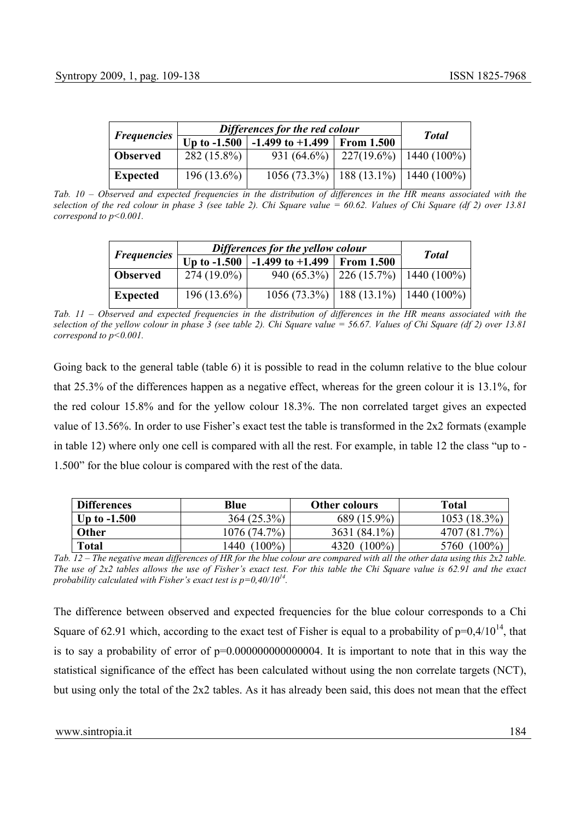|                    | Differences for the red colour | <b>Total</b>                         |  |                                            |  |
|--------------------|--------------------------------|--------------------------------------|--|--------------------------------------------|--|
| <b>Frequencies</b> | Up to $-1.500$                 | $\mid$ -1.499 to +1.499   From 1.500 |  |                                            |  |
| <b>Observed</b>    | $282(15.8\%)$                  |                                      |  | 931 (64.6%)   227(19.6%)   1440 (100%)     |  |
| <b>Expected</b>    | $196(13.6\%)$                  |                                      |  | $1056(73.3\%)$   188 (13.1%)   1440 (100%) |  |

*Tab. 10 – Observed and expected frequencies in the distribution of differences in the HR means associated with the selection of the red colour in phase 3 (see table 2). Chi Square value = 60.62. Values of Chi Square (df 2) over 13.81 correspond to p<0.001.*

|                           | Differences for the yellow colour | <b>Total</b>                               |  |                                         |
|---------------------------|-----------------------------------|--------------------------------------------|--|-----------------------------------------|
| <i><b>Frequencies</b></i> | Up to $-1.500$                    | $-1.499$ to $+1.499$ From 1.500            |  |                                         |
| <b>Observed</b>           | $274(19.0\%)$                     |                                            |  | 940 (65.3%)   226 (15.7%)   1440 (100%) |
| <b>Expected</b>           | $196(13.6\%)$                     | $1056(73.3\%)$   188 (13.1%)   1440 (100%) |  |                                         |

*Tab.* 11 – Observed and expected frequencies in the distribution of differences in the HR means associated with the *selection of the yellow colour in phase 3 (see table 2). Chi Square value = 56.67. Values of Chi Square (df 2) over 13.81 correspond to p<0.001.*

Going back to the general table (table 6) it is possible to read in the column relative to the blue colour that 25.3% of the differences happen as a negative effect, whereas for the green colour it is 13.1%, for the red colour 15.8% and for the yellow colour 18.3%. The non correlated target gives an expected value of 13.56%. In order to use Fisher's exact test the table is transformed in the 2x2 formats (example in table 12) where only one cell is compared with all the rest. For example, in table 12 the class "up to - 1.500" for the blue colour is compared with the rest of the data.

| <b>Differences</b> | Blue              | <b>Other colours</b> | <b>Total</b>       |
|--------------------|-------------------|----------------------|--------------------|
| Up to $-1.500$     | 364 (25.3%)       | 689 (15.9%)          | 1053 (18.3%)       |
| Other              | 1076 (74.7%)      | 3631 (84.1%)         | $7\%$<br>4707 (81) |
| <b>Total</b>       | $(100\%)$<br>1440 | $(100\%)$<br>4320    | 5760<br>$100\%$    |

*Tab. 12 – The negative mean differences of HR for the blue colour are compared with all the other data using this 2x2 table. The use of 2x2 tables allows the use of Fisher's exact test. For this table the Chi Square value is 62.91 and the exact probability calculated with Fisher's exact test is p=0,40/1014.* 

The difference between observed and expected frequencies for the blue colour corresponds to a Chi Square of 62.91 which, according to the exact test of Fisher is equal to a probability of  $p=0.4/10^{14}$ , that is to say a probability of error of  $p=0.000000000000004$ . It is important to note that in this way the statistical significance of the effect has been calculated without using the non correlate targets (NCT), but using only the total of the 2x2 tables. As it has already been said, this does not mean that the effect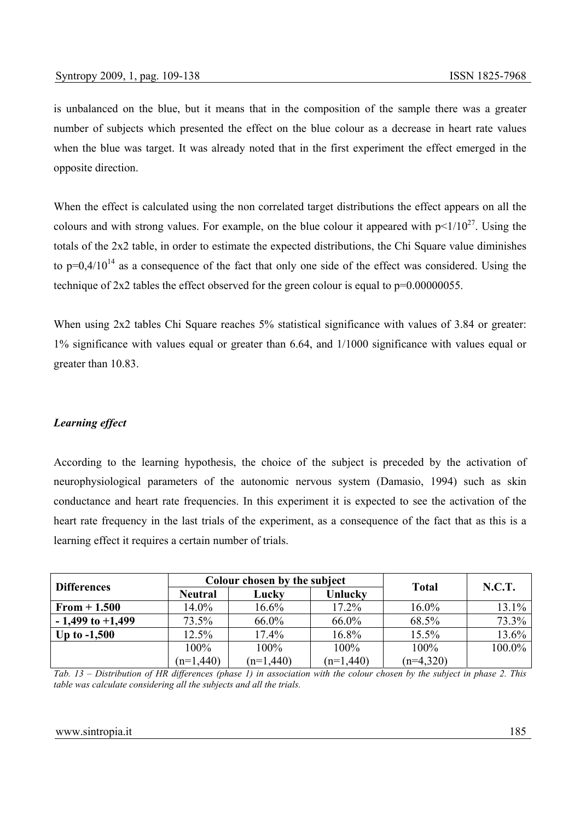is unbalanced on the blue, but it means that in the composition of the sample there was a greater number of subjects which presented the effect on the blue colour as a decrease in heart rate values when the blue was target. It was already noted that in the first experiment the effect emerged in the opposite direction.

When the effect is calculated using the non correlated target distributions the effect appears on all the colours and with strong values. For example, on the blue colour it appeared with  $p<1/10^{27}$ . Using the totals of the 2x2 table, in order to estimate the expected distributions, the Chi Square value diminishes to  $p=0.4/10^{14}$  as a consequence of the fact that only one side of the effect was considered. Using the technique of  $2x2$  tables the effect observed for the green colour is equal to  $p=0.00000055$ .

When using 2x2 tables Chi Square reaches 5% statistical significance with values of 3.84 or greater: 1% significance with values equal or greater than 6.64, and 1/1000 significance with values equal or greater than 10.83.

## *Learning effect*

According to the learning hypothesis, the choice of the subject is preceded by the activation of neurophysiological parameters of the autonomic nervous system (Damasio, 1994) such as skin conductance and heart rate frequencies. In this experiment it is expected to see the activation of the heart rate frequency in the last trials of the experiment, as a consequence of the fact that as this is a learning effect it requires a certain number of trials.

| <b>Differences</b>   |                | Colour chosen by the subject |             | <b>N.C.T.</b> |          |
|----------------------|----------------|------------------------------|-------------|---------------|----------|
|                      | <b>Neutral</b> | Lucky                        | Unlucky     | <b>Total</b>  |          |
| $From + 1.500$       | $14.0\%$       | 16.6%                        | 17.2%       | 16.0%         | $13.1\%$ |
| $-1,499$ to $+1,499$ | 73.5%          | 66.0%                        | 66.0%       | 68.5%         | 73.3%    |
| Up to $-1,500$       | 12.5%          | 17.4%                        | 16.8%       | 15.5%         | 13.6%    |
|                      | 100%           | 100%                         | 100%        | 100%          | 100.0%   |
|                      | $(n=1,440)$    | $(n=1,440)$                  | $(n=1,440)$ | $(n=4,320)$   |          |

*Tab. 13 – Distribution of HR differences (phase 1) in association with the colour chosen by the subject in phase 2. This table was calculate considering all the subjects and all the trials.*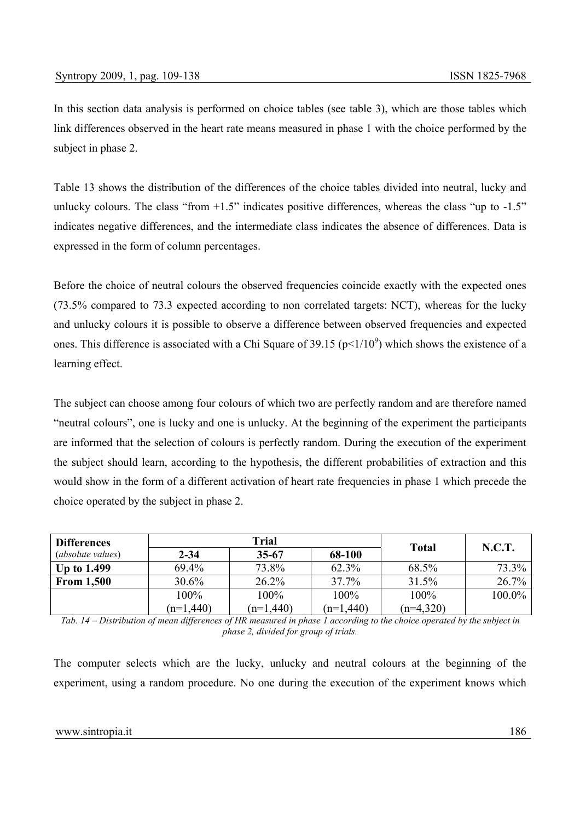In this section data analysis is performed on choice tables (see table 3), which are those tables which link differences observed in the heart rate means measured in phase 1 with the choice performed by the subject in phase 2.

Table 13 shows the distribution of the differences of the choice tables divided into neutral, lucky and unlucky colours. The class "from  $+1.5$ " indicates positive differences, whereas the class "up to  $-1.5$ " indicates negative differences, and the intermediate class indicates the absence of differences. Data is expressed in the form of column percentages.

Before the choice of neutral colours the observed frequencies coincide exactly with the expected ones (73.5% compared to 73.3 expected according to non correlated targets: NCT), whereas for the lucky and unlucky colours it is possible to observe a difference between observed frequencies and expected ones. This difference is associated with a Chi Square of 39.15 ( $p<1/10<sup>9</sup>$ ) which shows the existence of a learning effect.

The subject can choose among four colours of which two are perfectly random and are therefore named "neutral colours", one is lucky and one is unlucky. At the beginning of the experiment the participants are informed that the selection of colours is perfectly random. During the execution of the experiment the subject should learn, according to the hypothesis, the different probabilities of extraction and this would show in the form of a different activation of heart rate frequencies in phase 1 which precede the choice operated by the subject in phase 2.

| <b>Differences</b>       |             | Trial       | <b>Total</b> | N.C.T.      |          |
|--------------------------|-------------|-------------|--------------|-------------|----------|
| <i>(absolute values)</i> | $2 - 34$    | $35 - 67$   | 68-100       |             |          |
| <b>Up to 1.499</b>       | 69.4%       | 73.8%       | 62.3%        | 68.5%       | 73.3%    |
| <b>From 1,500</b>        | 30.6%       | 26.2%       | 37.7%        | 31.5%       | $26.7\%$ |
|                          | 100%        | 100%        | 100%         | 100%        | 100.0%   |
|                          | $(n=1,440)$ | $(n=1,440)$ | $(n=1,440)$  | $(n=4,320)$ |          |

*Tab. 14 – Distribution of mean differences of HR measured in phase 1 according to the choice operated by the subject in phase 2, divided for group of trials.*

The computer selects which are the lucky, unlucky and neutral colours at the beginning of the experiment, using a random procedure. No one during the execution of the experiment knows which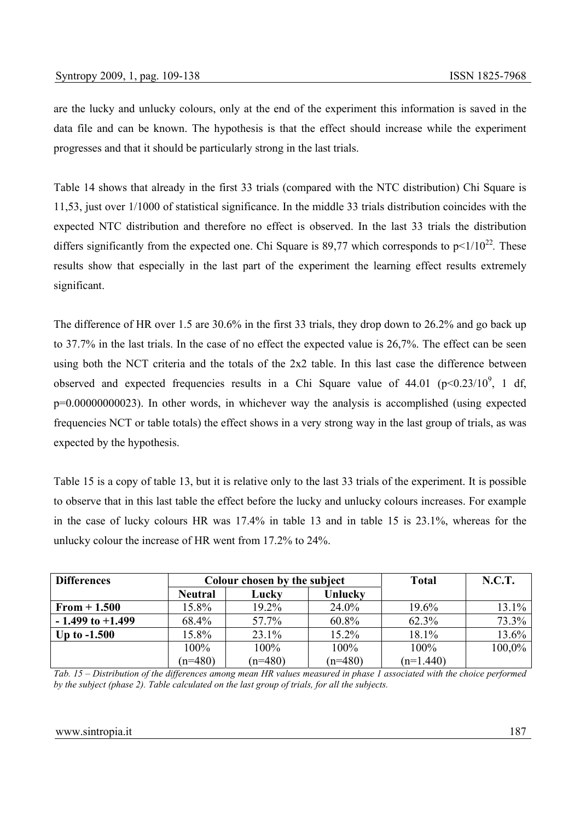are the lucky and unlucky colours, only at the end of the experiment this information is saved in the data file and can be known. The hypothesis is that the effect should increase while the experiment progresses and that it should be particularly strong in the last trials.

Table 14 shows that already in the first 33 trials (compared with the NTC distribution) Chi Square is 11,53, just over 1/1000 of statistical significance. In the middle 33 trials distribution coincides with the expected NTC distribution and therefore no effect is observed. In the last 33 trials the distribution differs significantly from the expected one. Chi Square is 89,77 which corresponds to  $p<1/10^{22}$ . These results show that especially in the last part of the experiment the learning effect results extremely significant.

The difference of HR over 1.5 are 30.6% in the first 33 trials, they drop down to 26.2% and go back up to 37.7% in the last trials. In the case of no effect the expected value is 26,7%. The effect can be seen using both the NCT criteria and the totals of the 2x2 table. In this last case the difference between observed and expected frequencies results in a Chi Square value of  $44.01$  (p $\leq 0.23/10^9$ , 1 df, p=0.00000000023). In other words, in whichever way the analysis is accomplished (using expected frequencies NCT or table totals) the effect shows in a very strong way in the last group of trials, as was expected by the hypothesis.

Table 15 is a copy of table 13, but it is relative only to the last 33 trials of the experiment. It is possible to observe that in this last table the effect before the lucky and unlucky colours increases. For example in the case of lucky colours HR was 17.4% in table 13 and in table 15 is 23.1%, whereas for the unlucky colour the increase of HR went from 17.2% to 24%.

| <b>Differences</b>   |                | Colour chosen by the subject |           |             | <b>N.C.T.</b> |
|----------------------|----------------|------------------------------|-----------|-------------|---------------|
|                      | <b>Neutral</b> | Lucky                        | Unlucky   |             |               |
| $From + 1.500$       | 15.8%          | 19.2%                        | 24.0%     | 19.6%       | $13.1\%$      |
| $-1.499$ to $+1.499$ | 68.4%          | 57.7%                        | 60.8%     | 62.3%       | 73.3%         |
| Up to $-1.500$       | 15.8%          | 23.1%                        | 15.2%     | 18.1%       | 13.6%         |
|                      | 100%           | 100%                         | 100%      | 100%        | 100,0%        |
|                      | $(n=480)$      | $(n=480)$                    | $(n=480)$ | $(n=1.440)$ |               |

*Tab. 15 – Distribution of the differences among mean HR values measured in phase 1 associated with the choice performed by the subject (phase 2). Table calculated on the last group of trials, for all the subjects.*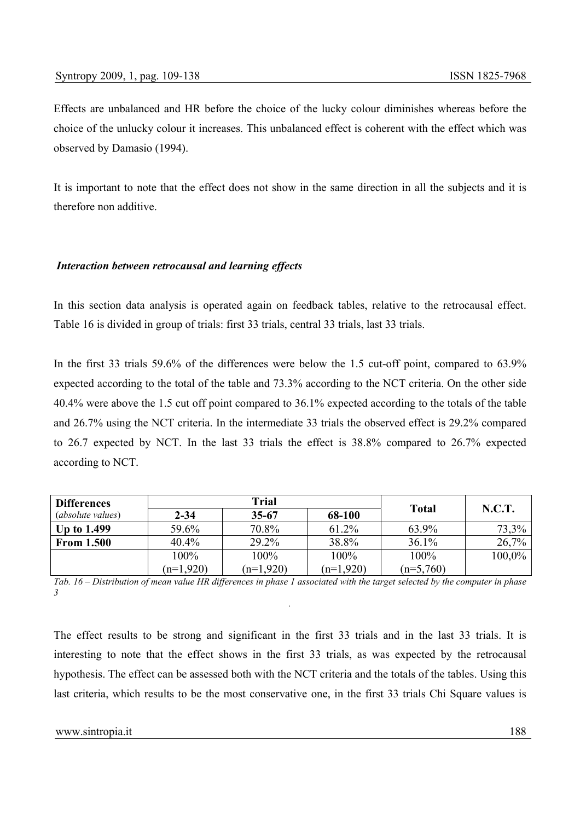Effects are unbalanced and HR before the choice of the lucky colour diminishes whereas before the choice of the unlucky colour it increases. This unbalanced effect is coherent with the effect which was observed by Damasio (1994).

It is important to note that the effect does not show in the same direction in all the subjects and it is therefore non additive.

### *Interaction between retrocausal and learning effects*

In this section data analysis is operated again on feedback tables, relative to the retrocausal effect. Table 16 is divided in group of trials: first 33 trials, central 33 trials, last 33 trials.

In the first 33 trials 59.6% of the differences were below the 1.5 cut-off point, compared to 63.9% expected according to the total of the table and 73.3% according to the NCT criteria. On the other side 40.4% were above the 1.5 cut off point compared to 36.1% expected according to the totals of the table and 26.7% using the NCT criteria. In the intermediate 33 trials the observed effect is 29.2% compared to 26.7 expected by NCT. In the last 33 trials the effect is 38.8% compared to 26.7% expected according to NCT.

| <b>Differences</b>       | Trial       |             |             |              |        |
|--------------------------|-------------|-------------|-------------|--------------|--------|
| <i>(absolute values)</i> | $2 - 34$    | 35-67       | 68-100      | <b>Total</b> | N.C.T. |
| <b>Up to 1.499</b>       | 59.6%       | 70.8%       | 61.2%       | 63.9%        | 73,3%  |
| <b>From 1.500</b>        | $40.4\%$    | 29.2%       | 38.8%       | 36.1%        | 26,7%  |
|                          | 100%        | 100%        | 100%        | 100%         | 100,0% |
|                          | $(n=1,920)$ | $(n=1,920)$ | $(n=1,920)$ | $(n=5,760)$  |        |

*Tab. 16 – Distribution of mean value HR differences in phase 1 associated with the target selected by the computer in phase 3 .*

The effect results to be strong and significant in the first 33 trials and in the last 33 trials. It is interesting to note that the effect shows in the first 33 trials, as was expected by the retrocausal hypothesis. The effect can be assessed both with the NCT criteria and the totals of the tables. Using this last criteria, which results to be the most conservative one, in the first 33 trials Chi Square values is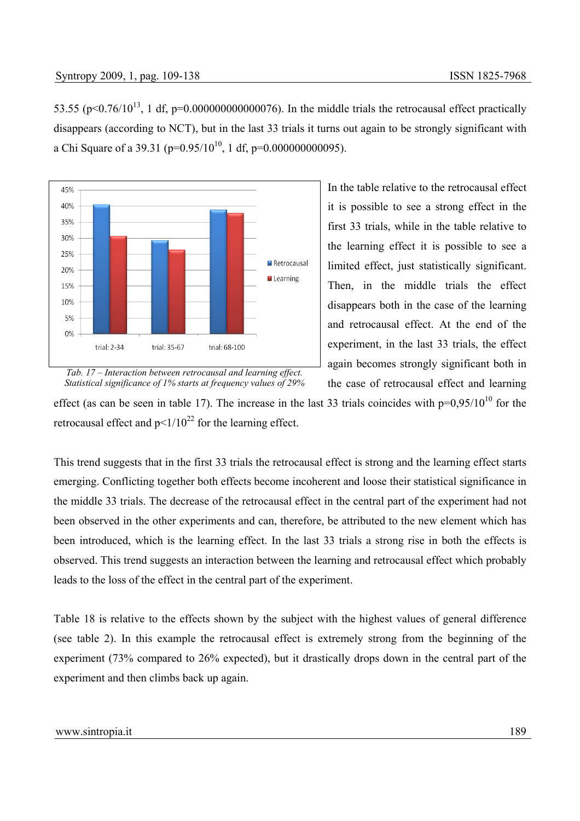53.55 ( $p<0.76/10^{13}$ , 1 df,  $p=0.000000000000076$ ). In the middle trials the retrocausal effect practically disappears (according to NCT), but in the last 33 trials it turns out again to be strongly significant with a Chi Square of a 39.31 ( $p=0.95/10^{10}$ , 1 df,  $p=0.000000000095$ ).



In the table relative to the retrocausal effect it is possible to see a strong effect in the first 33 trials, while in the table relative to the learning effect it is possible to see a limited effect, just statistically significant. Then, in the middle trials the effect disappears both in the case of the learning and retrocausal effect. At the end of the experiment, in the last 33 trials, the effect again becomes strongly significant both in the case of retrocausal effect and learning

*Tab. 17 – Interaction between retrocausal and learning effect. Statistical significance of 1% starts at frequency values of 29%* 

effect (as can be seen in table 17). The increase in the last 33 trials coincides with  $p=0.95/10^{10}$  for the retrocausal effect and  $p \leq 1/10^{22}$  for the learning effect.

This trend suggests that in the first 33 trials the retrocausal effect is strong and the learning effect starts emerging. Conflicting together both effects become incoherent and loose their statistical significance in the middle 33 trials. The decrease of the retrocausal effect in the central part of the experiment had not been observed in the other experiments and can, therefore, be attributed to the new element which has been introduced, which is the learning effect. In the last 33 trials a strong rise in both the effects is observed. This trend suggests an interaction between the learning and retrocausal effect which probably leads to the loss of the effect in the central part of the experiment.

Table 18 is relative to the effects shown by the subject with the highest values of general difference (see table 2). In this example the retrocausal effect is extremely strong from the beginning of the experiment (73% compared to 26% expected), but it drastically drops down in the central part of the experiment and then climbs back up again.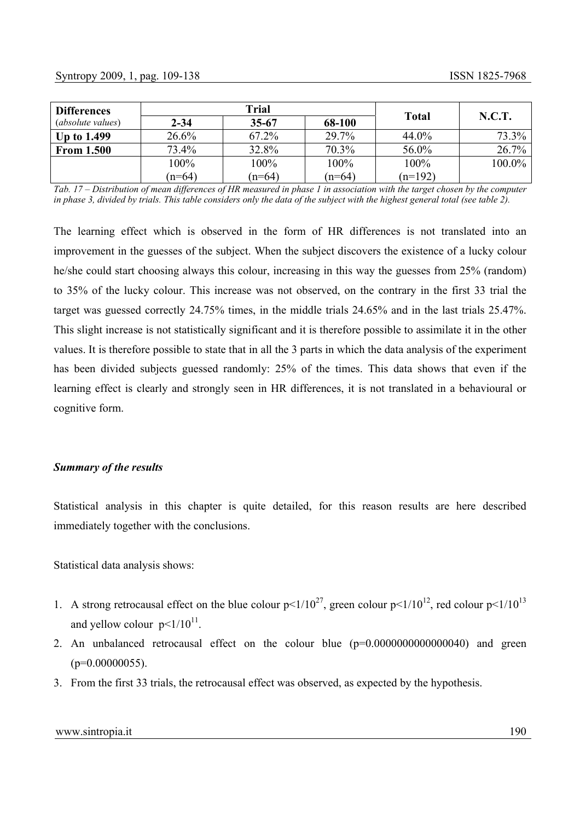| <b>Differences</b>       | Trial    |           |          |              |        |
|--------------------------|----------|-----------|----------|--------------|--------|
| <i>(absolute values)</i> | $2 - 34$ | $35 - 67$ | 68-100   | <b>Total</b> | N.C.T. |
| Up to $1.499$            | 26.6%    | 67.2%     | 29.7%    | 44.0%        | 73.3%  |
| <b>From 1.500</b>        | 73.4%    | 32.8%     | 70.3%    | 56.0%        | 26.7%  |
|                          | 100%     | 100%      | 100%     | 100%         | 100.0% |
|                          | $(n=64)$ | $(n=64)$  | $(n=64)$ | $(n=192)$    |        |

*Tab. 17 – Distribution of mean differences of HR measured in phase 1 in association with the target chosen by the computer in phase 3, divided by trials. This table considers only the data of the subject with the highest general total (see table 2).* 

The learning effect which is observed in the form of HR differences is not translated into an improvement in the guesses of the subject. When the subject discovers the existence of a lucky colour he/she could start choosing always this colour, increasing in this way the guesses from 25% (random) to 35% of the lucky colour. This increase was not observed, on the contrary in the first 33 trial the target was guessed correctly 24.75% times, in the middle trials 24.65% and in the last trials 25.47%. This slight increase is not statistically significant and it is therefore possible to assimilate it in the other values. It is therefore possible to state that in all the 3 parts in which the data analysis of the experiment has been divided subjects guessed randomly: 25% of the times. This data shows that even if the learning effect is clearly and strongly seen in HR differences, it is not translated in a behavioural or cognitive form.

### *Summary of the results*

Statistical analysis in this chapter is quite detailed, for this reason results are here described immediately together with the conclusions.

Statistical data analysis shows:

- 1. A strong retrocausal effect on the blue colour  $p \le 1/10^{27}$ , green colour  $p \le 1/10^{12}$ , red colour  $p \le 1/10^{13}$ and yellow colour  $p \leq 1/10^{11}$ .
- 2. An unbalanced retrocausal effect on the colour blue (p=0.0000000000000040) and green  $(p=0.00000055)$ .
- 3. From the first 33 trials, the retrocausal effect was observed, as expected by the hypothesis.